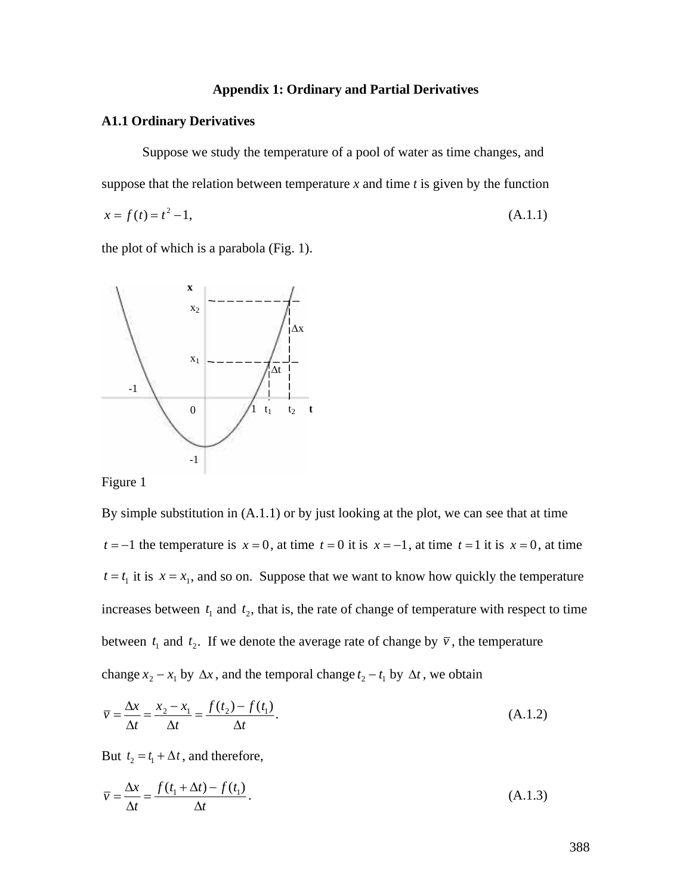# **Appendix 1: Ordinary and Partial Derivatives**

#### **A1.1 Ordinary Derivatives**

Suppose we study the temperature of a pool of water as time changes, and suppose that the relation between temperature  $x$  and time  $t$  is given by the function

$$
x = f(t) = t^2 - 1,\tag{A.1.1}
$$

the plot of which is a parabola (Fig. 1).



Figure 1

By simple substitution in (A.1.1) or by just looking at the plot, we can see that at time  $t = -1$  the temperature is  $x = 0$ , at time  $t = 0$  it is  $x = -1$ , at time  $t = 1$  it is  $x = 0$ , at time † † † † †  $t = t_1$  it is  $x = x_1$ , and so on. Suppose that we want to know how quickly the temperature between  $t_1$  and  $t_2$ . If we denote the average rate of change by  $\bar{v}$ , the temperature increases between  $t_1$  and  $t_2$ , that is, the rate of change of temperature with respect to time change  $x_2 - x_1$  by  $\Delta x$ , and the temporal change  $t_2 - t_1$  by  $\Delta t$ , we obtain

$$
\bar{v} = \frac{\Delta x}{\Delta t} = \frac{x_2 - x_1}{\Delta t} = \frac{f(t_2) - f(t_1)}{\Delta t}.
$$
\n(A.1.2)

But  $t_2 = t_1 + \Delta t$ , and therefore,

$$
\overline{v} = \frac{\Delta x}{\Delta t} = \frac{f(t_1 + \Delta t) - f(t_1)}{\Delta t}.
$$
\n(A.1.3)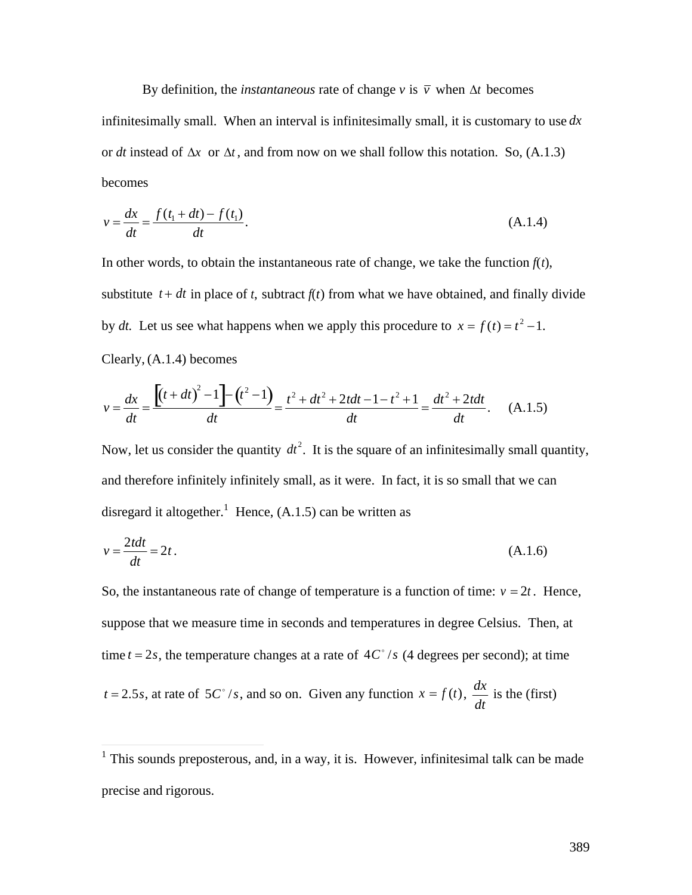By definition, the *instantaneous* rate of change  $v$  is  $\bar{v}$  when  $\Delta t$  becomes or *dt* instead of  $\Delta x$  or  $\Delta t$ , and from now on we shall follow this notation. So, (A.1.3) infinitesimally small. When an interval is infinitesimally small, it is customary to use *dx* becomes

$$
v = \frac{dx}{dt} = \frac{f(t_1 + dt) - f(t_1)}{dt}.
$$
\n(A.1.4)

In other words, to obtain the instantaneous rate of change, we take the function  $f(t)$ , substitute  $t + dt$  in place of *t*, subtract  $f(t)$  from what we have obtained, and finally divide by *dt*. Let us see what happens when we apply this procedure to  $x = f(t) = t^2 - 1$ . Clearly, (A.1.4) becomes

$$
v = \frac{dx}{dt} = \frac{\left[ (t+dt)^2 - 1 \right] - (t^2 - 1)}{dt} = \frac{t^2 + dt^2 + 2tdt - 1 - t^2 + 1}{dt} = \frac{dt^2 + 2tdt}{dt}.
$$
 (A.1.5)

Now, let us consider the quantity  $dt^2$ . It is the square of an infinitesimally small quantity, and therefore infinitely infinitely small, as it were. In fact, it is so small that we can disregard it altogether.<sup>1</sup> Hence,  $(A.1.5)$  can be written as

$$
v = \frac{2tdt}{dt} = 2t.
$$
\n(A.1.6)

So, the instantaneous rate of change of temperature is a function of time:  $v = 2t$ . Hence, suppose that we measure time in seconds and temperatures in degree Celsius. Then, at time  $t = 2s$ , the temperature changes at a rate of  $4C<sup>\circ</sup>/s$  (4 degrees per second); at time  $t = 2.5s$ , at rate of  $5C^{\circ}/s$ , and so on. Given any function  $x = f(t)$ ,  $\frac{dx}{dt}$  is the ( *dt* is the (first)

 $\frac{1}{2}$ , infini <sup>1</sup> This sounds preposterous, and, in a way, it is. However, infinitesimal talk can be made precise and rigorous.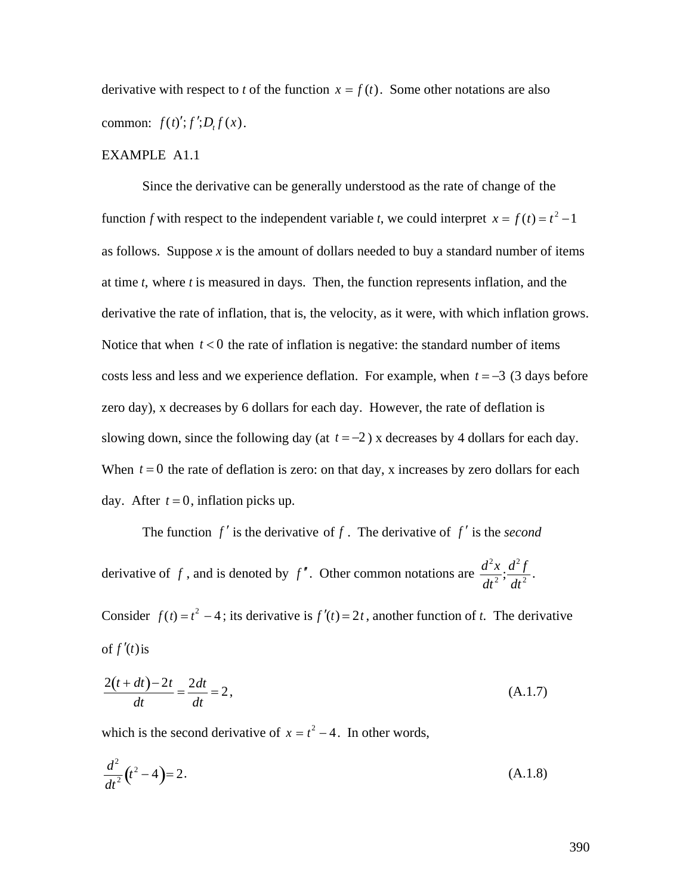derivative with respect to *t* of the function  $x = f(t)$ . Some other notations are also common:  $f(t)$ <sup>*'*</sup>; $f$ </sup><sup>'</sup>; $D_t f(x)$ .

#### EXAMPLE A1.1

Since the derivative can be generally understood as the rate of change of the function *f* with respect to the independent variable *t*, we could interpret  $x = f(t) = t^2 - 1$ at time  $t$ , where  $t$  is measured in days. Then, the function represents inflation, and the as follows. Suppose  $x$  is the amount of dollars needed to buy a standard number of items derivative the rate of inflation, that is, the velocity, as it were, with which inflation grows. Notice that when  $t < 0$  the rate of inflation is negative: the standard number of items costs less and less and we experience deflation. For example, when  $t = -3$  (3 days before zero day), x decreases by 6 dollars for each day. However, the rate of deflation is slowing down, since the following day (at  $t = -2$ ) x decreases by 4 dollars for each day. When  $t = 0$  the rate of deflation is zero: on that day, x increases by zero dollars for each day. After  $t = 0$ , inflation picks up.

The function  $f'$  is the derivative of  $f$ . The derivative of  $f'$  is the *second* derivative of f, and is denoted by f'. Other common notations are  $\frac{d^2x}{dx^2}$ ,  $\frac{d^2f}{dx^2}$ .  $\frac{d^2x}{dt^2}; \frac{d^2f}{dt^2}.$  $dt^2$ <sup>2</sup> .

Consider  $f(t) = t^2 - 4$ ; its derivative is  $f'(t) = 2t$ , another function of *t*. The derivative of  $f'(t)$  is

$$
\frac{2(t+dt)-2t}{dt} = \frac{2dt}{dt} = 2,
$$
\n(A.1.7)

which is the second derivative of  $x = t^2 - 4$ . In other words,

$$
\frac{d^2}{dt^2}(t^2 - 4) = 2. \tag{A.1.8}
$$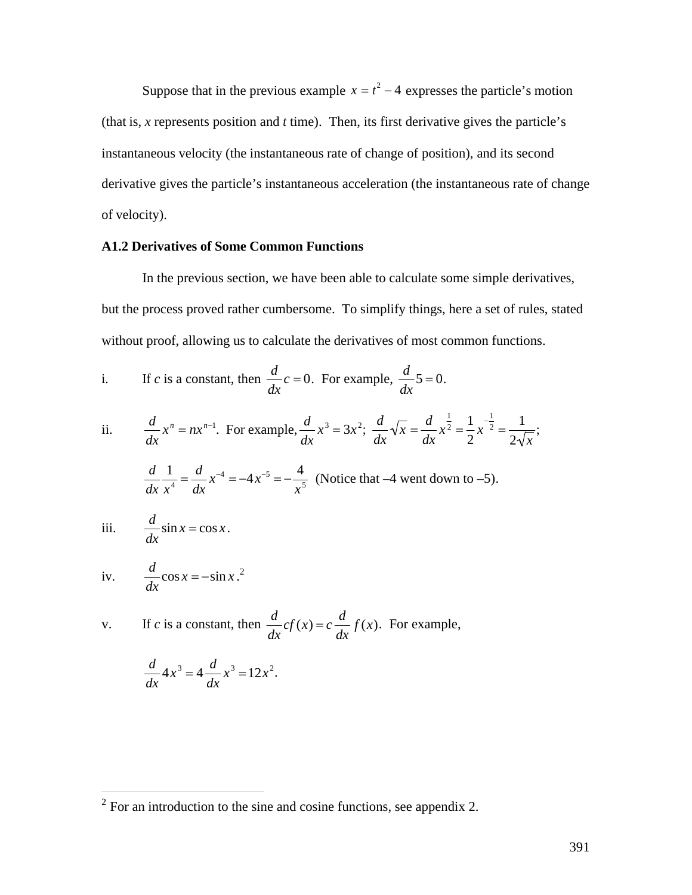Suppose that in the previous example  $x = t^2 - 4$  expresses the particle's motion (that is, *x* represents position and *t* time). Then, its first derivative gives the particle's instantaneous velocity (the instantaneous rate of change of position), and its second derivative gives the particle's instantaneous acceleration (the instantaneous rate of change of velocity).

## **A1.2 Derivatives of Some Common Functions**

In the previous section, we have been able to calculate some simple derivatives, but the process proved rather cumbersome. To simplify things, here a set of rules, stated without proof, allowing us to calculate the derivatives of most common functions.

i. If *c* is a constant, then 
$$
\frac{d}{dx}c = 0
$$
. For example,  $\frac{d}{dx}5 = 0$ .

ii. 
$$
\frac{d}{dx}x^n = nx^{n-1}. \text{ For example, } \frac{d}{dx}x^3 = 3x^2; \frac{d}{dx}\sqrt{x} = \frac{d}{dx}x^{\frac{1}{2}} = \frac{1}{2}x^{-\frac{1}{2}} = \frac{1}{2\sqrt{x}};
$$

$$
\frac{d}{dx}\frac{1}{x^4} = \frac{d}{dx}x^{-4} = -4x^{-5} = -\frac{4}{x^5}
$$
 (Notice that -4 went down to -5).

iii. 
$$
\frac{d}{dx}\sin x = \cos x.
$$

iv. 
$$
\frac{d}{dx}\cos x = -\sin x.^2
$$

 $\overline{a}$ 

v. If *c* is a constant, then 
$$
\frac{d}{dx}cf(x) = c\frac{d}{dx}f(x)
$$
. For example,

$$
\frac{d}{dx}4x^3 = 4\frac{d}{dx}x^3 = 12x^2.
$$

 $2^2$  For an introduction to the sine and cosine functions, see appendix 2.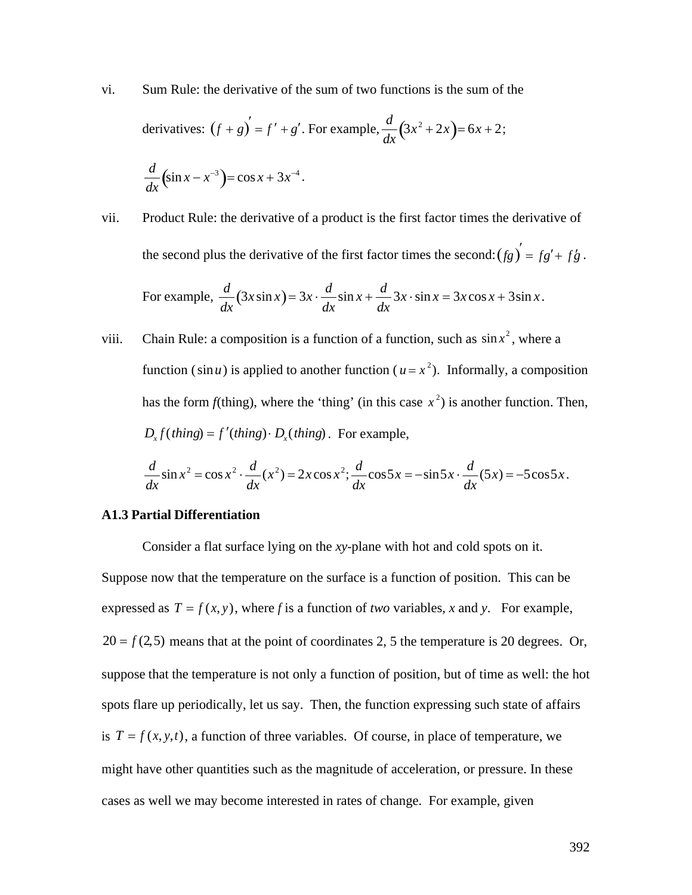vi. Sum Rule: the derivative of the sum of two functions is the sum of the

derivatives: 
$$
(f+g)' = f' + g'
$$
. For example,  $\frac{d}{dx}(3x^2 + 2x) = 6x + 2$ ;  
 $\frac{d}{dx}(\sin x - x^{-3}) = \cos x + 3x^{-4}$ .

- vii. Product Rule: the derivative of a product is the first factor times the derivative of the second plus the derivative of the first factor times the second:  $(fg)' = fg' + fg$ . For example,  $\frac{d}{dx}$  (3x sin x  $\frac{d}{dx}(3x\sin x) = 3x \cdot \frac{d}{dx}\sin x + \frac{1}{x}$  $\sin x + \frac{d}{dx} 3x \cdot \sin x$ *dx*  $3x \cdot \sin x = 3x \cos x + 3\sin x$ .
- function ( $\sin u$ ) is applied to another function ( $u = x^2$ ). Informally, a composition viii. Chain Rule: a composition is a function of a function, such as  $\sin x^2$ , where a  $D_x f$ (*thing*) =  $f'(thing) \cdot D_x(thing)$ . For example, has the form  $f$ (thing), where the 'thing' (in this case  $x^2$ ) is another function. Then,

$$
\frac{d}{dx}\sin x^2 = \cos x^2 \cdot \frac{d}{dx}(x^2) = 2x\cos x^2; \frac{d}{dx}\cos 5x = -\sin 5x \cdot \frac{d}{dx}(5x) = -5\cos 5x.
$$

#### **A1.3 Partial Differentiation**

Consider a flat surface lying on the *xy*-plane with hot and cold spots on it. Suppose now that the temperature on the surface is a function of position. This can be expressed as  $T = f(x, y)$ , where *f* is a function of *two* variables, *x* and *y*. For example,  $20 = f(2,5)$  means that at the point of coordinates 2, 5 the temperature is 20 degrees. Or, suppose that the temperature is not only a function of position, but of time as well: the hot spots flare up periodically, let us say. Then, the function expressing such state of affairs is  $T = f(x, y, t)$ , a function of three variables. Of course, in place of temperature, we might have other quantities such as the magnitude of acceleration, or pressure. In these cases as well we may become interested in rates of change. For example, given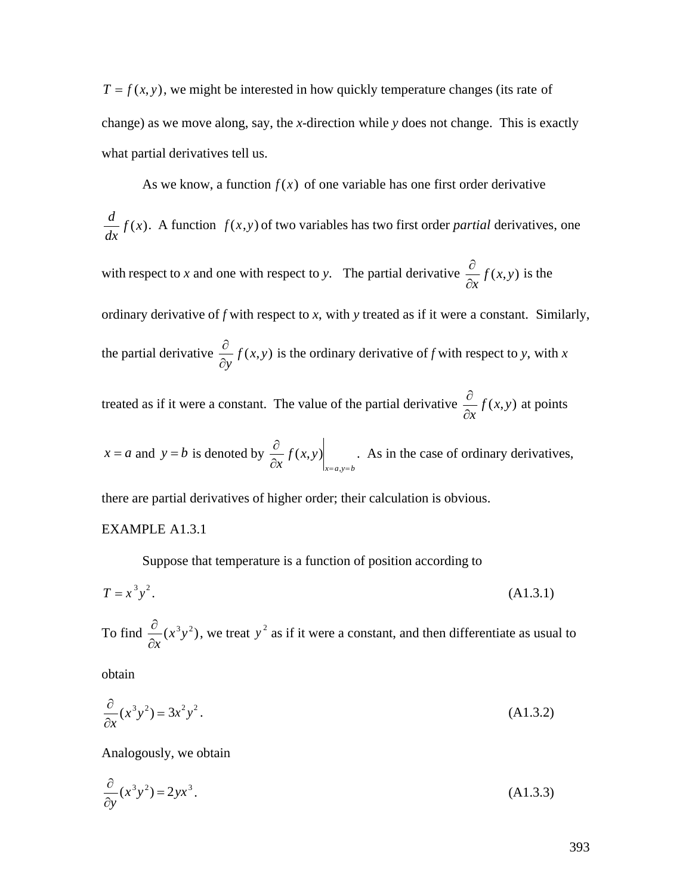$T = f(x, y)$ , we might be interested in how quickly temperature changes (its rate of change) as we move along, say, the *x*-direction while *y* does not change. This is exactly what partial derivatives tell us.

As we know, a function  $f(x)$  of one variable has one first order derivative  $d$ <sub>*f(x)</sub></sub></sub>*  $dx^{\prime}$  $f(x)$ . A function  $f(x,y)$  of two variables has two first order *partial* derivatives, one with respect to *x* and one with respect to *y*. The partial derivative  $\frac{\partial}{\partial x} f(x, y)$  $\partial x$ <sup>*y*</sup>  $\langle$ *i*, *y*<sub>2</sub>*y*  $f(x, y)$  is the ordinary derivative of *f* with respect to *x*, with *y* treated as if it were a constant. Similarly, the partial derivative  $\frac{\partial}{\partial x} f(x, y)$ *¶y*  $f(x, y)$  is the ordinary derivative of *f* with respect to *y*, with *x* treated as if it were a constant. The value of the partial derivative  $\frac{\partial}{\partial x} f(x, y)$  $f(x, y)$  at points

 $x = a$  and  $y = b$  is denoted by  $\frac{\partial}{\partial x} f(x, y)$  $\partial x$ <sup>*y*</sup> (*m<sub>2</sub>*)<sup>*/*</sup> *f* (*x*, *y*) *x*= *a*,*y*= *b* . As in the case of ordinary derivatives,

 $\partial x$ <sup>*y*</sup>  $\langle$ *i*, *y*<sub>2</sub>*y* 

there are partial derivatives of higher order; their calculation is obvious.

# EXAMPLE A1.3.1

Suppose that temperature is a function of position according to

$$
T = x^3 y^2.
$$
 (A1.3.1)

To find  $\frac{\partial}{\partial x}(x^3y^2)$ ,  $\partial x$ <sup>2</sup>  $(x<sup>3</sup>y<sup>2</sup>)$ , we treat  $y<sup>2</sup>$  as if it were a constant, and then differentiate as usual to

obtain

$$
\frac{\partial}{\partial x}(x^3y^2) = 3x^2y^2.
$$
\n(A1.3.2)

Analogously, we obtain

$$
\frac{\partial}{\partial y}(x^3 y^2) = 2yx^3.
$$
\n(A1.3.3)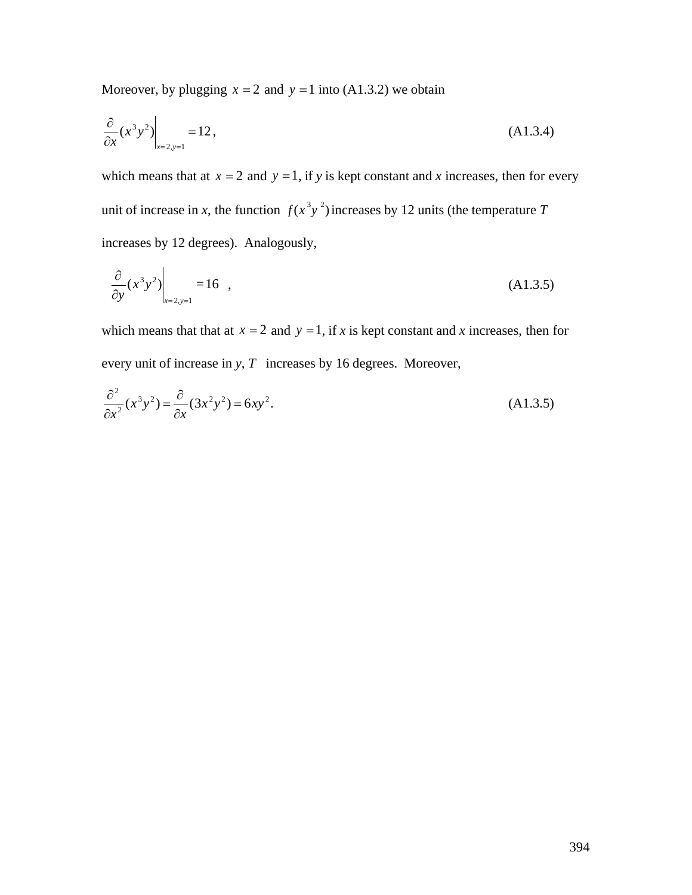Moreover, by plugging  $x = 2$  and  $y = 1$  into (A1.3.2) we obtain

$$
\left. \frac{\partial}{\partial x} (x^3 y^2) \right|_{x=2, y=1} = 12, \tag{A1.3.4}
$$

which means that at  $x = 2$  and  $y = 1$ , if *y* is kept constant and *x* increases, then for every unit of increase in *x*, the function  $f(x^3y^2)$  increases by 12 units (the temperature *T* increases by 12 degrees). Analogously,

$$
\left. \frac{\partial}{\partial y} (x^3 y^2) \right|_{x=2, y=1} = 16 , \qquad (A1.3.5)
$$

which means that that at  $x = 2$  and  $y = 1$ , if *x* is kept constant and *x* increases, then for every unit of increase in *y*, *T* increases by 16 degrees. Moreover,

$$
\frac{\partial^2}{\partial x^2}(x^3y^2) = \frac{\partial}{\partial x}(3x^2y^2) = 6xy^2.
$$
\n(A1.3.5)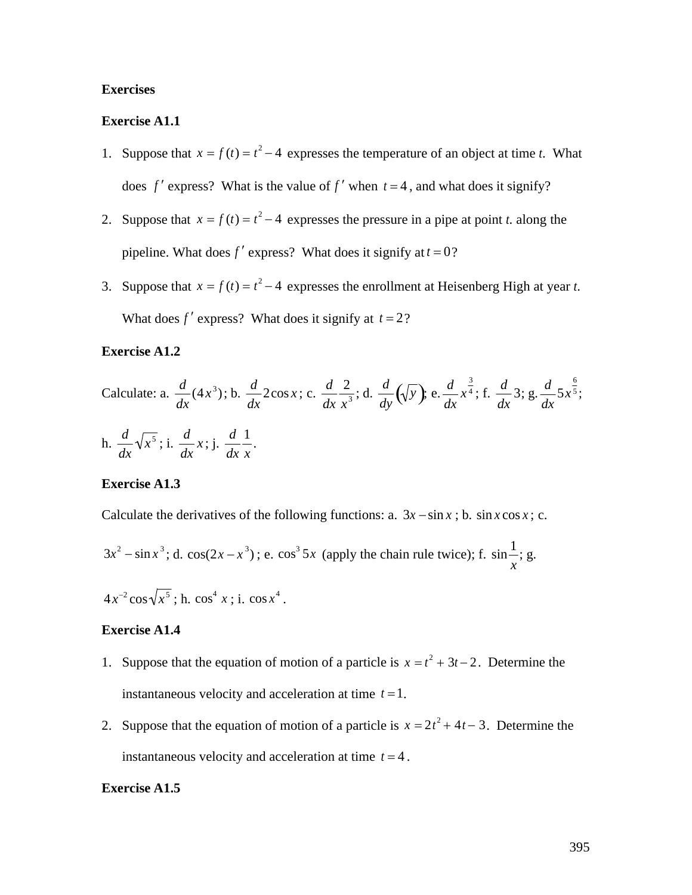# **Exercises**

# **Exercise A1.1**

- 1. Suppose that  $x = f(t) = t^2 4$  expresses the temperature of an object at time *t*. What does  $f'$  express? What is the value of  $f'$  when  $t = 4$ , and what does it signify?
- 2. Suppose that  $x = f(t) = t^2 4$  expresses the pressure in a pipe at point *t*. along the pipeline. What does  $f'$  express? What does it signify at  $t = 0$ ?
- 3. Suppose that  $x = f(t) = t^2 4$  expresses the enrollment at Heisenberg High at year *t*. What does  $f'$  express? What does it signify at  $t = 2$ ?

# **Exercise A1.2**

Calculate: a. 
$$
\frac{d}{dx}(4x^3)
$$
; b.  $\frac{d}{dx}2\cos x$ ; c.  $\frac{d}{dx}\frac{2}{x^3}$ ; d.  $\frac{d}{dy}(\sqrt{y})$ ; e.  $\frac{d}{dx}x^{\frac{3}{4}}$ ; f.  $\frac{d}{dx}3$ ; g.  $\frac{d}{dx}5x^{\frac{6}{5}}$ ;  
h.  $\frac{d}{dx}\sqrt{x^5}$ ; i.  $\frac{d}{dx}x$ ; j.  $\frac{d}{dx}\frac{1}{x}$ .

#### **Exercise A1.3**

Calculate the derivatives of the following functions: a.  $3x - \sin x$ ; b.  $\sin x \cos x$ ; c.

$$
3x^2 - \sin x^3
$$
; d.  $\cos(2x - x^3)$ ; e.  $\cos^3 5x$  (apply the chain rule twice); f.  $\sin \frac{1}{x}$ ; g.

 $4x^{-2}\cos\sqrt{x^5}$ ; h.  $\cos^4 x$ ; i.  $\cos x^4$ .

## **Exercise A1.4**

- 1. Suppose that the equation of motion of a particle is  $x = t^2 + 3t 2$ . Determine the instantaneous velocity and acceleration at time  $t = 1$ .
- 2. Suppose that the equation of motion of a particle is  $x = 2t^2 + 4t 3$ . Determine the instantaneous velocity and acceleration at time  $t = 4$ .

#### **Exercise A1.5**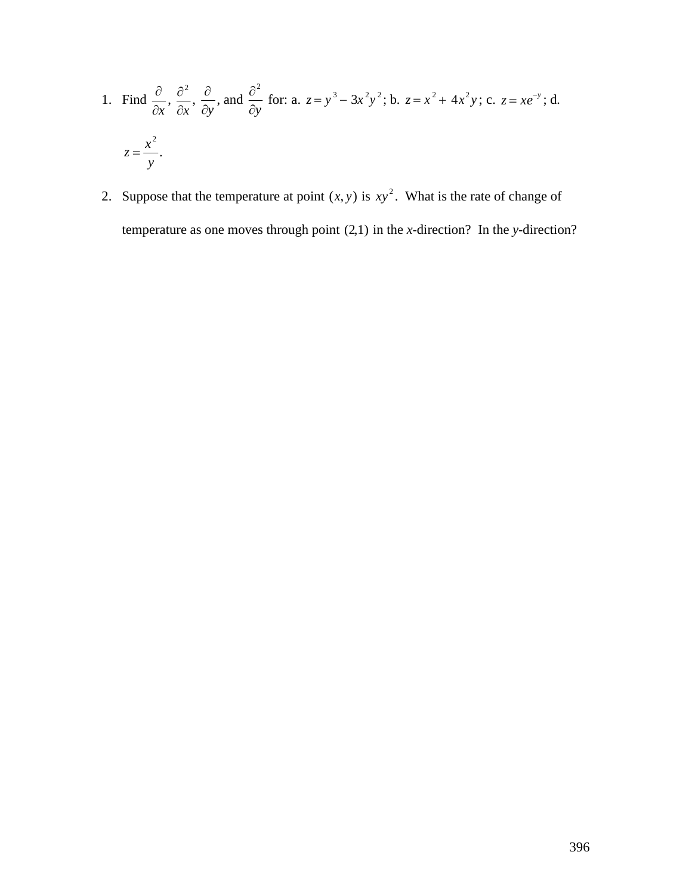1. Find 
$$
\frac{\partial}{\partial x}
$$
,  $\frac{\partial^2}{\partial x}$ ,  $\frac{\partial}{\partial y}$ , and  $\frac{\partial^2}{\partial y}$  for: a.  $z = y^3 - 3x^2y^2$ ; b.  $z = x^2 + 4x^2y$ ; c.  $z = xe^{-y}$ ; d.  

$$
z = \frac{x^2}{y}.
$$

2. Suppose that the temperature at point  $(x, y)$  is  $xy^2$ . What is the rate of change of temperature as one moves through point (2,1) in the *x*-direction? In the *y*-direction?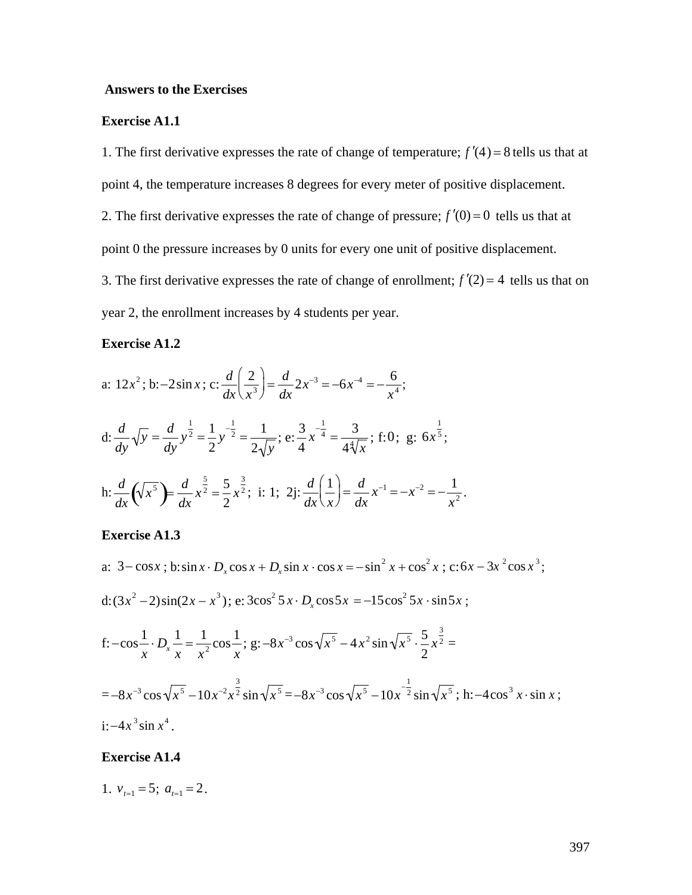#### **Answers to the Exercises**

## **Exercise A1.1**

1. The first derivative expresses the rate of change of temperature;  $f'(4) = 8$  tells us that at point 4, the temperature increases 8 degrees for every meter of positive displacement. 2. The first derivative expresses the rate of change of pressure;  $f'(0) = 0$  tells us that at point 0 the pressure increases by 0 units for every one unit of positive displacement. 3. The first derivative expresses the rate of change of enrollment;  $f'(2) = 4$  tells us that on year 2, the enrollment increases by 4 students per year.

# **Exercise A1.2**

a: 
$$
12x^2
$$
; b:  $-2\sin x$ ; c:  $\frac{d}{dx} \left(\frac{2}{x^3}\right) = \frac{d}{dx} 2x^{-3} = -6x^{-4} = -\frac{6}{x^4}$ ;  
d:  $\frac{d}{dy}\sqrt{y} = \frac{d}{dy} y^{\frac{1}{2}} = \frac{1}{2} y^{-\frac{1}{2}} = \frac{1}{2\sqrt{y}}$ ; e:  $\frac{3}{4} x^{-\frac{1}{4}} = \frac{3}{4\sqrt[4]{x}}$ ; f: 0; g:  $6x^{\frac{1}{5}}$ ;  
h:  $\frac{d}{dx} (\sqrt{x^5}) = \frac{d}{dx} x^{\frac{5}{2}} = \frac{5}{2} x^{\frac{3}{2}}$ ; i: 1; 2j:  $\frac{d}{dx} \left(\frac{1}{x}\right) = \frac{d}{dx} x^{-1} = -x^{-2} = -\frac{1}{x^2}$ .

#### **Exercise A1.3**

a:  $3 - \cos x$ ; b: $\sin x \cdot D_x \cos x + D_x \sin x \cdot \cos x = -\sin^2 x + \cos^2 x$ ; c: $6x - 3x^2 \cos x^3$ ; d:  $(3x^2 - 2)\sin(2x - x^3)$ ; e:  $3\cos^2 5x \cdot D_x \cos 5x = -15\cos^2 5x \cdot \sin 5x$ ; f: $-\cos \frac{1}{x} \cdot D_x =$  $\frac{1}{x} \cdot D_x \frac{1}{x} = \frac{1}{x^2} \cos \frac{1}{x};$  $\frac{1}{x^2} \cos \frac{1}{x}$ ; g: -8x<sup>-</sup> *x*<sup>2</sup> ; g:  $-8x^{-3}\cos\sqrt{x^5-4x^2}\sin\sqrt{x^5}\cdot\frac{5}{2}x^{\frac{3}{2}}=$ 2  $x^2 =$ 3  $2=$  $=-8x^{-3}\cos\sqrt{x^5-10x^{-2}x^2}\sin\sqrt{x}$ 3  $\frac{3}{2}$  sin  $\sqrt{x^5}$  = -8*x*<sup>-3</sup> cos  $\sqrt{x^5}$  -10*x*<sup>-2</sup> sin  $\sqrt{x^5}$  $\frac{1}{2}$  sin  $\sqrt{x^5}$ ; h:  $-4\cos^3 x \cdot \sin x$ ;  $i: -4x^3 \sin x^4$ .

## **Exercise A1.4**

1. 
$$
v_{t=1} = 5
$$
;  $a_{t=1} = 2$ .